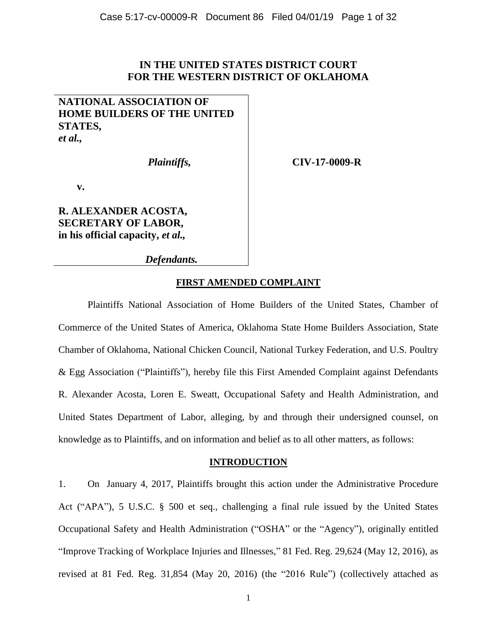## **IN THE UNITED STATES DISTRICT COURT FOR THE WESTERN DISTRICT OF OKLAHOMA**

## **NATIONAL ASSOCIATION OF HOME BUILDERS OF THE UNITED STATES,** *et al.,*

 *Plaintiffs,*

 **CIV-17-0009-R**

**v.**

**R. ALEXANDER ACOSTA, SECRETARY OF LABOR, in his official capacity,** *et al.,*

 *Defendants.*

## **FIRST AMENDED COMPLAINT**

Plaintiffs National Association of Home Builders of the United States, Chamber of Commerce of the United States of America, Oklahoma State Home Builders Association, State Chamber of Oklahoma, National Chicken Council, National Turkey Federation, and U.S. Poultry & Egg Association ("Plaintiffs"), hereby file this First Amended Complaint against Defendants R. Alexander Acosta, Loren E. Sweatt, Occupational Safety and Health Administration, and United States Department of Labor, alleging, by and through their undersigned counsel, on knowledge as to Plaintiffs, and on information and belief as to all other matters, as follows:

### **INTRODUCTION**

1. On January 4, 2017, Plaintiffs brought this action under the Administrative Procedure Act ("APA"), 5 U.S.C. § 500 et seq., challenging a final rule issued by the United States Occupational Safety and Health Administration ("OSHA" or the "Agency"), originally entitled "Improve Tracking of Workplace Injuries and Illnesses," 81 Fed. Reg. 29,624 (May 12, 2016), as revised at 81 Fed. Reg. 31,854 (May 20, 2016) (the "2016 Rule") (collectively attached as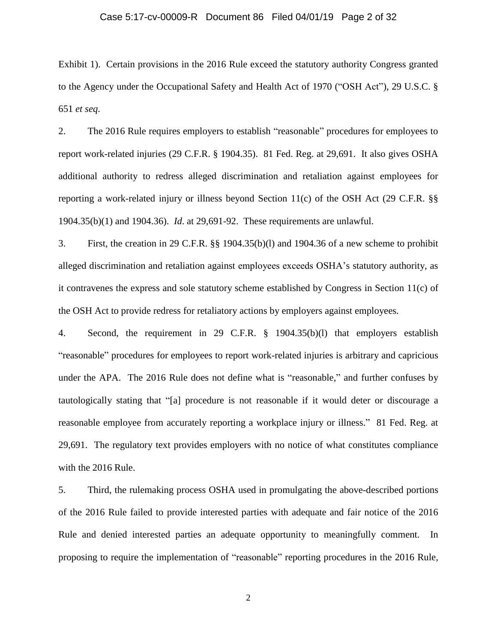#### Case 5:17-cv-00009-R Document 86 Filed 04/01/19 Page 2 of 32

Exhibit 1). Certain provisions in the 2016 Rule exceed the statutory authority Congress granted to the Agency under the Occupational Safety and Health Act of 1970 ("OSH Act"), 29 U.S.C. § 651 *et seq*.

2. The 2016 Rule requires employers to establish "reasonable" procedures for employees to report work-related injuries (29 C.F.R. § 1904.35). 81 Fed. Reg. at 29,691. It also gives OSHA additional authority to redress alleged discrimination and retaliation against employees for reporting a work-related injury or illness beyond Section 11(c) of the OSH Act (29 C.F.R. §§ 1904.35(b)(1) and 1904.36). *Id*. at 29,691-92. These requirements are unlawful.

3. First, the creation in 29 C.F.R. §§ 1904.35(b)(l) and 1904.36 of a new scheme to prohibit alleged discrimination and retaliation against employees exceeds OSHA's statutory authority, as it contravenes the express and sole statutory scheme established by Congress in Section 11(c) of the OSH Act to provide redress for retaliatory actions by employers against employees.

4. Second, the requirement in 29 C.F.R. § 1904.35(b)(l) that employers establish "reasonable" procedures for employees to report work-related injuries is arbitrary and capricious under the APA. The 2016 Rule does not define what is "reasonable," and further confuses by tautologically stating that "[a] procedure is not reasonable if it would deter or discourage a reasonable employee from accurately reporting a workplace injury or illness." 81 Fed. Reg. at 29,691. The regulatory text provides employers with no notice of what constitutes compliance with the 2016 Rule.

5. Third, the rulemaking process OSHA used in promulgating the above-described portions of the 2016 Rule failed to provide interested parties with adequate and fair notice of the 2016 Rule and denied interested parties an adequate opportunity to meaningfully comment. In proposing to require the implementation of "reasonable" reporting procedures in the 2016 Rule,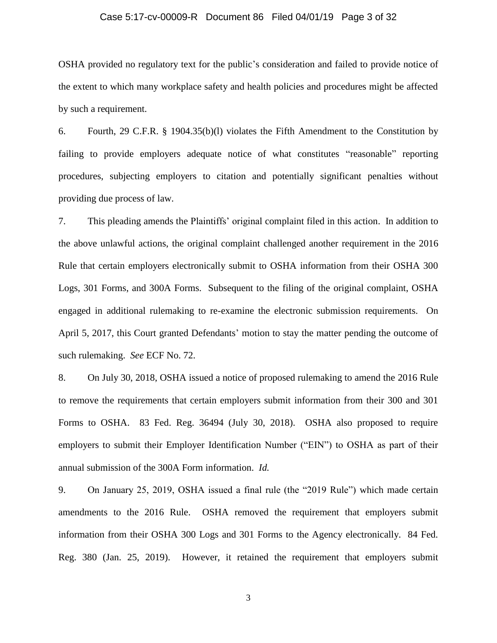#### Case 5:17-cv-00009-R Document 86 Filed 04/01/19 Page 3 of 32

OSHA provided no regulatory text for the public's consideration and failed to provide notice of the extent to which many workplace safety and health policies and procedures might be affected by such a requirement.

6. Fourth, 29 C.F.R. § 1904.35(b)(l) violates the Fifth Amendment to the Constitution by failing to provide employers adequate notice of what constitutes "reasonable" reporting procedures, subjecting employers to citation and potentially significant penalties without providing due process of law.

7. This pleading amends the Plaintiffs' original complaint filed in this action. In addition to the above unlawful actions, the original complaint challenged another requirement in the 2016 Rule that certain employers electronically submit to OSHA information from their OSHA 300 Logs, 301 Forms, and 300A Forms. Subsequent to the filing of the original complaint, OSHA engaged in additional rulemaking to re-examine the electronic submission requirements. On April 5, 2017, this Court granted Defendants' motion to stay the matter pending the outcome of such rulemaking. *See* ECF No. 72.

8. On July 30, 2018, OSHA issued a notice of proposed rulemaking to amend the 2016 Rule to remove the requirements that certain employers submit information from their 300 and 301 Forms to OSHA. 83 Fed. Reg. 36494 (July 30, 2018). OSHA also proposed to require employers to submit their Employer Identification Number ("EIN") to OSHA as part of their annual submission of the 300A Form information. *Id.*

9. On January 25, 2019, OSHA issued a final rule (the "2019 Rule") which made certain amendments to the 2016 Rule. OSHA removed the requirement that employers submit information from their OSHA 300 Logs and 301 Forms to the Agency electronically. 84 Fed. Reg. 380 (Jan. 25, 2019). However, it retained the requirement that employers submit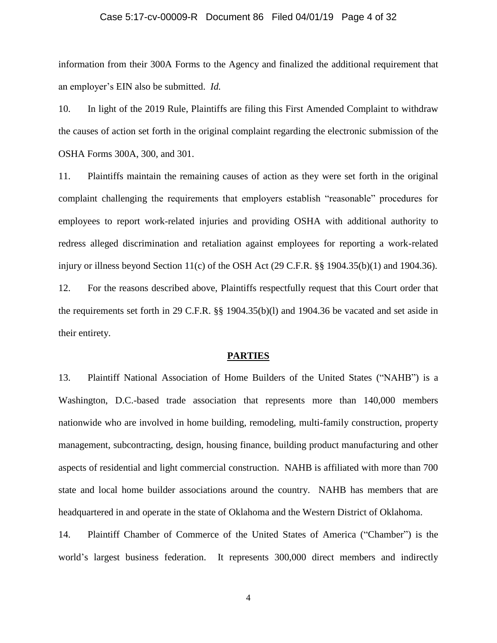#### Case 5:17-cv-00009-R Document 86 Filed 04/01/19 Page 4 of 32

information from their 300A Forms to the Agency and finalized the additional requirement that an employer's EIN also be submitted. *Id.*

10. In light of the 2019 Rule, Plaintiffs are filing this First Amended Complaint to withdraw the causes of action set forth in the original complaint regarding the electronic submission of the OSHA Forms 300A, 300, and 301.

11. Plaintiffs maintain the remaining causes of action as they were set forth in the original complaint challenging the requirements that employers establish "reasonable" procedures for employees to report work-related injuries and providing OSHA with additional authority to redress alleged discrimination and retaliation against employees for reporting a work-related injury or illness beyond Section 11(c) of the OSH Act  $(29 \text{ C.F.R.}$  §§ 1904.35(b)(1) and 1904.36). 12. For the reasons described above, Plaintiffs respectfully request that this Court order that the requirements set forth in 29 C.F.R. §§ 1904.35(b)(l) and 1904.36 be vacated and set aside in

#### **PARTIES**

their entirety.

13. Plaintiff National Association of Home Builders of the United States ("NAHB") is a Washington, D.C.-based trade association that represents more than 140,000 members nationwide who are involved in home building, remodeling, multi-family construction, property management, subcontracting, design, housing finance, building product manufacturing and other aspects of residential and light commercial construction. NAHB is affiliated with more than 700 state and local home builder associations around the country. NAHB has members that are headquartered in and operate in the state of Oklahoma and the Western District of Oklahoma.

14. Plaintiff Chamber of Commerce of the United States of America ("Chamber") is the world's largest business federation. It represents 300,000 direct members and indirectly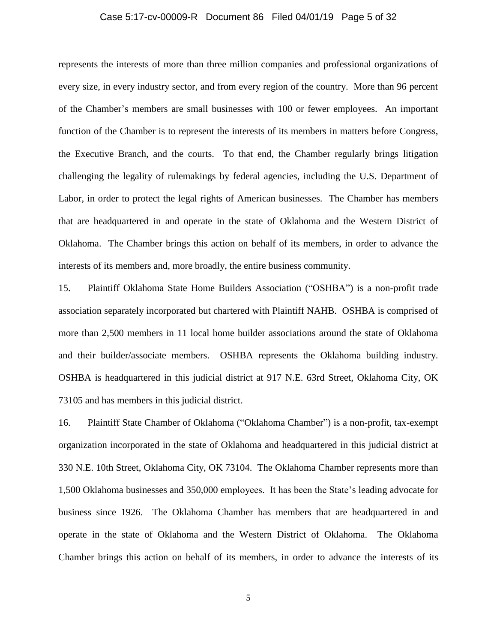#### Case 5:17-cv-00009-R Document 86 Filed 04/01/19 Page 5 of 32

represents the interests of more than three million companies and professional organizations of every size, in every industry sector, and from every region of the country. More than 96 percent of the Chamber's members are small businesses with 100 or fewer employees. An important function of the Chamber is to represent the interests of its members in matters before Congress, the Executive Branch, and the courts. To that end, the Chamber regularly brings litigation challenging the legality of rulemakings by federal agencies, including the U.S. Department of Labor, in order to protect the legal rights of American businesses. The Chamber has members that are headquartered in and operate in the state of Oklahoma and the Western District of Oklahoma. The Chamber brings this action on behalf of its members, in order to advance the interests of its members and, more broadly, the entire business community.

15. Plaintiff Oklahoma State Home Builders Association ("OSHBA") is a non-profit trade association separately incorporated but chartered with Plaintiff NAHB. OSHBA is comprised of more than 2,500 members in 11 local home builder associations around the state of Oklahoma and their builder/associate members. OSHBA represents the Oklahoma building industry. OSHBA is headquartered in this judicial district at 917 N.E. 63rd Street, Oklahoma City, OK 73105 and has members in this judicial district.

16. Plaintiff State Chamber of Oklahoma ("Oklahoma Chamber") is a non-profit, tax-exempt organization incorporated in the state of Oklahoma and headquartered in this judicial district at 330 N.E. 10th Street, Oklahoma City, OK 73104. The Oklahoma Chamber represents more than 1,500 Oklahoma businesses and 350,000 employees. It has been the State's leading advocate for business since 1926. The Oklahoma Chamber has members that are headquartered in and operate in the state of Oklahoma and the Western District of Oklahoma. The Oklahoma Chamber brings this action on behalf of its members, in order to advance the interests of its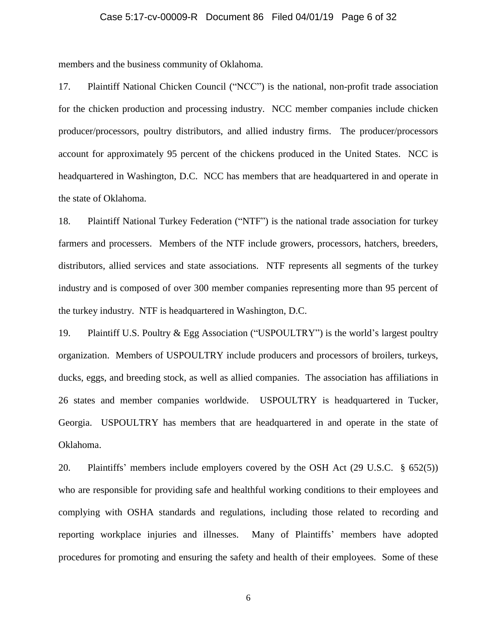#### Case 5:17-cv-00009-R Document 86 Filed 04/01/19 Page 6 of 32

members and the business community of Oklahoma.

17. Plaintiff National Chicken Council ("NCC") is the national, non-profit trade association for the chicken production and processing industry. NCC member companies include chicken producer/processors, poultry distributors, and allied industry firms. The producer/processors account for approximately 95 percent of the chickens produced in the United States. NCC is headquartered in Washington, D.C. NCC has members that are headquartered in and operate in the state of Oklahoma.

18. Plaintiff National Turkey Federation ("NTF") is the national trade association for turkey farmers and processers. Members of the NTF include growers, processors, hatchers, breeders, distributors, allied services and state associations. NTF represents all segments of the turkey industry and is composed of over 300 member companies representing more than 95 percent of the turkey industry. NTF is headquartered in Washington, D.C.

19. Plaintiff U.S. Poultry & Egg Association ("USPOULTRY") is the world's largest poultry organization. Members of USPOULTRY include producers and processors of broilers, turkeys, ducks, eggs, and breeding stock, as well as allied companies. The association has affiliations in 26 states and member companies worldwide. USPOULTRY is headquartered in Tucker, Georgia. USPOULTRY has members that are headquartered in and operate in the state of Oklahoma.

20. Plaintiffs' members include employers covered by the OSH Act (29 U.S.C. § 652(5)) who are responsible for providing safe and healthful working conditions to their employees and complying with OSHA standards and regulations, including those related to recording and reporting workplace injuries and illnesses. Many of Plaintiffs' members have adopted procedures for promoting and ensuring the safety and health of their employees. Some of these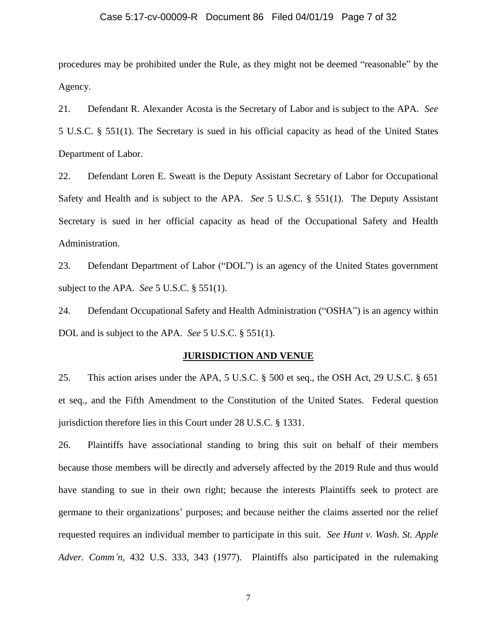#### Case 5:17-cv-00009-R Document 86 Filed 04/01/19 Page 7 of 32

procedures may be prohibited under the Rule, as they might not be deemed "reasonable" by the Agency.

21. Defendant R. Alexander Acosta is the Secretary of Labor and is subject to the APA. *See* 5 U.S.C. § 551(1). The Secretary is sued in his official capacity as head of the United States Department of Labor.

22. Defendant Loren E. Sweatt is the Deputy Assistant Secretary of Labor for Occupational Safety and Health and is subject to the APA. *See* 5 U.S.C. § 551(1). The Deputy Assistant Secretary is sued in her official capacity as head of the Occupational Safety and Health Administration.

23. Defendant Department of Labor ("DOL") is an agency of the United States government subject to the APA. *See* 5 U.S.C. § 551(1).

24. Defendant Occupational Safety and Health Administration ("OSHA") is an agency within DOL and is subject to the APA. *See* 5 U.S.C. § 551(1).

#### **JURISDICTION AND VENUE**

25. This action arises under the APA, 5 U.S.C. § 500 et seq., the OSH Act, 29 U.S.C. § 651 et seq., and the Fifth Amendment to the Constitution of the United States. Federal question jurisdiction therefore lies in this Court under 28 U.S.C. § 1331.

26. Plaintiffs have associational standing to bring this suit on behalf of their members because those members will be directly and adversely affected by the 2019 Rule and thus would have standing to sue in their own right; because the interests Plaintiffs seek to protect are germane to their organizations' purposes; and because neither the claims asserted nor the relief requested requires an individual member to participate in this suit. *See Hunt v. Wash. St. Apple Adver. Comm'n*, 432 U.S. 333, 343 (1977). Plaintiffs also participated in the rulemaking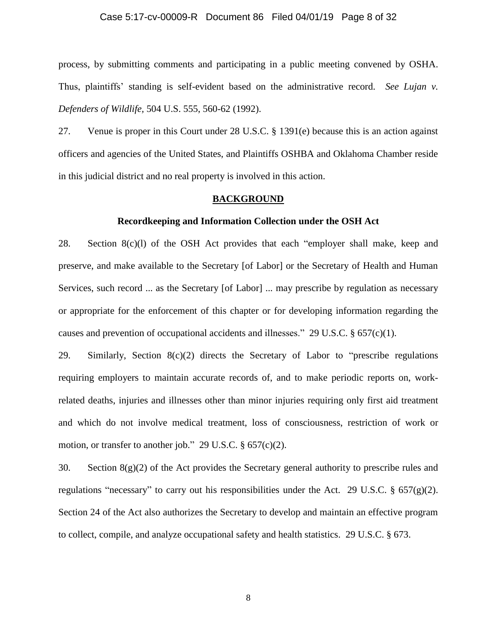#### Case 5:17-cv-00009-R Document 86 Filed 04/01/19 Page 8 of 32

process, by submitting comments and participating in a public meeting convened by OSHA. Thus, plaintiffs' standing is self-evident based on the administrative record. *See Lujan v. Defenders of Wildlife,* 504 U.S. 555, 560-62 (1992).

27. Venue is proper in this Court under 28 U.S.C. § 1391(e) because this is an action against officers and agencies of the United States, and Plaintiffs OSHBA and Oklahoma Chamber reside in this judicial district and no real property is involved in this action.

### **BACKGROUND**

#### **Recordkeeping and Information Collection under the OSH Act**

28. Section 8(c)(l) of the OSH Act provides that each "employer shall make, keep and preserve, and make available to the Secretary [of Labor] or the Secretary of Health and Human Services, such record ... as the Secretary [of Labor] ... may prescribe by regulation as necessary or appropriate for the enforcement of this chapter or for developing information regarding the causes and prevention of occupational accidents and illnesses." 29 U.S.C.  $\S 657(c)(1)$ .

29. Similarly, Section  $8(c)(2)$  directs the Secretary of Labor to "prescribe regulations" requiring employers to maintain accurate records of, and to make periodic reports on, workrelated deaths, injuries and illnesses other than minor injuries requiring only first aid treatment and which do not involve medical treatment, loss of consciousness, restriction of work or motion, or transfer to another job." 29 U.S.C. § 657(c)(2).

30. Section  $8(g)(2)$  of the Act provides the Secretary general authority to prescribe rules and regulations "necessary" to carry out his responsibilities under the Act. 29 U.S.C. § 657(g)(2). Section 24 of the Act also authorizes the Secretary to develop and maintain an effective program to collect, compile, and analyze occupational safety and health statistics. 29 U.S.C. § 673.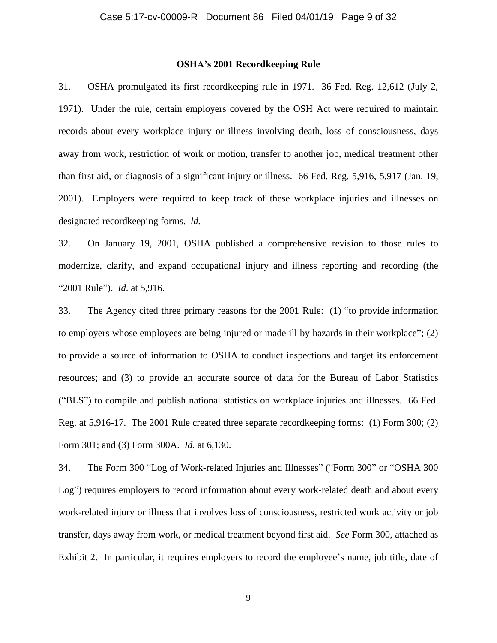#### **OSHA's 2001 Recordkeeping Rule**

31. OSHA promulgated its first recordkeeping rule in 1971. 36 Fed. Reg. 12,612 (July 2, 1971). Under the rule, certain employers covered by the OSH Act were required to maintain records about every workplace injury or illness involving death, loss of consciousness, days away from work, restriction of work or motion, transfer to another job, medical treatment other than first aid, or diagnosis of a significant injury or illness. 66 Fed. Reg. 5,916, 5,917 (Jan. 19, 2001). Employers were required to keep track of these workplace injuries and illnesses on designated recordkeeping forms. *ld.*

32. On January 19, 2001, OSHA published a comprehensive revision to those rules to modernize, clarify, and expand occupational injury and illness reporting and recording (the "2001 Rule"). *Id*. at 5,916.

33. The Agency cited three primary reasons for the 2001 Rule: (1) "to provide information to employers whose employees are being injured or made ill by hazards in their workplace"; (2) to provide a source of information to OSHA to conduct inspections and target its enforcement resources; and (3) to provide an accurate source of data for the Bureau of Labor Statistics ("BLS") to compile and publish national statistics on workplace injuries and illnesses. 66 Fed. Reg. at 5,916-17. The 2001 Rule created three separate recordkeeping forms: (1) Form 300; (2) Form 301; and (3) Form 300A. *Id.* at 6,130.

34. The Form 300 "Log of Work-related Injuries and Illnesses" ("Form 300" or "OSHA 300 Log") requires employers to record information about every work-related death and about every work-related injury or illness that involves loss of consciousness, restricted work activity or job transfer, days away from work, or medical treatment beyond first aid. *See* Form 300, attached as Exhibit 2. In particular, it requires employers to record the employee's name, job title, date of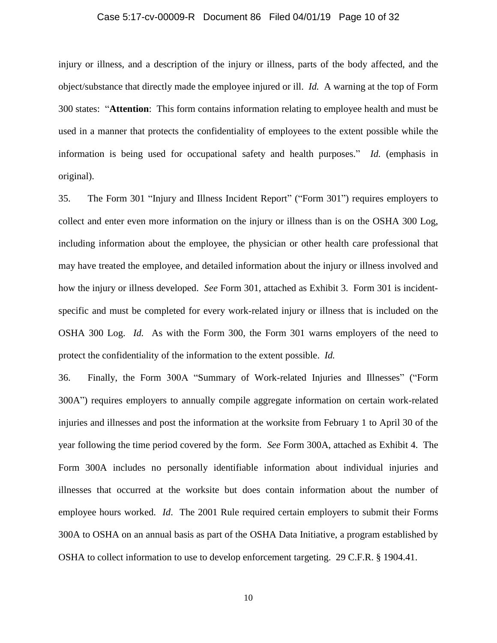#### Case 5:17-cv-00009-R Document 86 Filed 04/01/19 Page 10 of 32

injury or illness, and a description of the injury or illness, parts of the body affected, and the object/substance that directly made the employee injured or ill. *Id.* A warning at the top of Form 300 states: "**Attention**: This form contains information relating to employee health and must be used in a manner that protects the confidentiality of employees to the extent possible while the information is being used for occupational safety and health purposes." *Id.* (emphasis in original).

35. The Form 301 "Injury and Illness Incident Report" ("Form 301") requires employers to collect and enter even more information on the injury or illness than is on the OSHA 300 Log, including information about the employee, the physician or other health care professional that may have treated the employee, and detailed information about the injury or illness involved and how the injury or illness developed. *See* Form 301, attached as Exhibit 3. Form 301 is incidentspecific and must be completed for every work-related injury or illness that is included on the OSHA 300 Log. *Id.* As with the Form 300, the Form 301 warns employers of the need to protect the confidentiality of the information to the extent possible. *Id.*

36. Finally, the Form 300A "Summary of Work-related Injuries and Illnesses" ("Form 300A") requires employers to annually compile aggregate information on certain work-related injuries and illnesses and post the information at the worksite from February 1 to April 30 of the year following the time period covered by the form. *See* Form 300A, attached as Exhibit 4. The Form 300A includes no personally identifiable information about individual injuries and illnesses that occurred at the worksite but does contain information about the number of employee hours worked. *Id*. The 2001 Rule required certain employers to submit their Forms 300A to OSHA on an annual basis as part of the OSHA Data Initiative, a program established by OSHA to collect information to use to develop enforcement targeting. 29 C.F.R. § 1904.41.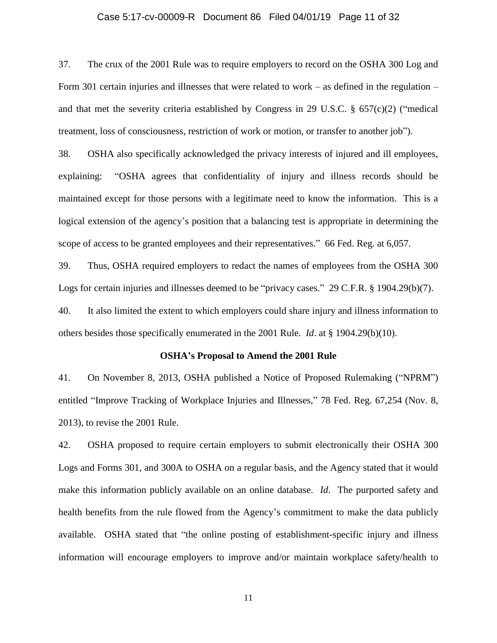#### Case 5:17-cv-00009-R Document 86 Filed 04/01/19 Page 11 of 32

37. The crux of the 2001 Rule was to require employers to record on the OSHA 300 Log and Form 301 certain injuries and illnesses that were related to work – as defined in the regulation – and that met the severity criteria established by Congress in 29 U.S.C.  $\S$  657(c)(2) ("medical treatment, loss of consciousness, restriction of work or motion, or transfer to another job").

38. OSHA also specifically acknowledged the privacy interests of injured and ill employees, explaining: "OSHA agrees that confidentiality of injury and illness records should be maintained except for those persons with a legitimate need to know the information. This is a logical extension of the agency's position that a balancing test is appropriate in determining the scope of access to be granted employees and their representatives." 66 Fed. Reg. at 6,057.

39. Thus, OSHA required employers to redact the names of employees from the OSHA 300 Logs for certain injuries and illnesses deemed to be "privacy cases." 29 C.F.R. § 1904.29(b)(7). 40. It also limited the extent to which employers could share injury and illness information to others besides those specifically enumerated in the 2001 Rule. *Id*. at § 1904.29(b)(10).

#### **OSHA's Proposal to Amend the 2001 Rule**

41. On November 8, 2013, OSHA published a Notice of Proposed Rulemaking ("NPRM") entitled "Improve Tracking of Workplace Injuries and Illnesses," 78 Fed. Reg. 67,254 (Nov. 8, 2013), to revise the 2001 Rule.

42. OSHA proposed to require certain employers to submit electronically their OSHA 300 Logs and Forms 301, and 300A to OSHA on a regular basis, and the Agency stated that it would make this information publicly available on an online database. *Id*. The purported safety and health benefits from the rule flowed from the Agency's commitment to make the data publicly available. OSHA stated that "the online posting of establishment-specific injury and illness information will encourage employers to improve and/or maintain workplace safety/health to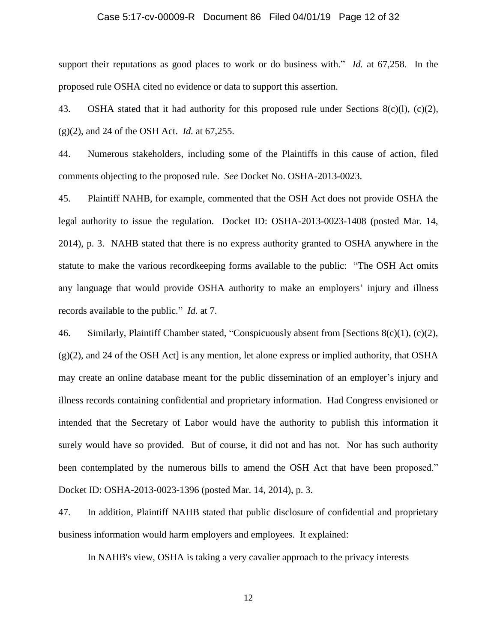#### Case 5:17-cv-00009-R Document 86 Filed 04/01/19 Page 12 of 32

support their reputations as good places to work or do business with." *Id.* at 67,258. In the proposed rule OSHA cited no evidence or data to support this assertion.

43. OSHA stated that it had authority for this proposed rule under Sections  $8(c)(1)$ ,  $(c)(2)$ , (g)(2), and 24 of the OSH Act. *Id.* at 67,255.

44. Numerous stakeholders, including some of the Plaintiffs in this cause of action, filed comments objecting to the proposed rule. *See* Docket No. OSHA-2013-0023.

45. Plaintiff NAHB, for example, commented that the OSH Act does not provide OSHA the legal authority to issue the regulation. Docket ID: OSHA-2013-0023-1408 (posted Mar. 14, 2014), p. 3. NAHB stated that there is no express authority granted to OSHA anywhere in the statute to make the various recordkeeping forms available to the public: "The OSH Act omits any language that would provide OSHA authority to make an employers' injury and illness records available to the public." *Id.* at 7.

46. Similarly, Plaintiff Chamber stated, "Conspicuously absent from [Sections 8(c)(1), (c)(2),  $(g(2))$ , and 24 of the OSH Act] is any mention, let alone express or implied authority, that OSHA may create an online database meant for the public dissemination of an employer's injury and illness records containing confidential and proprietary information. Had Congress envisioned or intended that the Secretary of Labor would have the authority to publish this information it surely would have so provided. But of course, it did not and has not. Nor has such authority been contemplated by the numerous bills to amend the OSH Act that have been proposed." Docket ID: OSHA-2013-0023-1396 (posted Mar. 14, 2014), p. 3.

47. In addition, Plaintiff NAHB stated that public disclosure of confidential and proprietary business information would harm employers and employees. It explained:

In NAHB's view, OSHA is taking a very cavalier approach to the privacy interests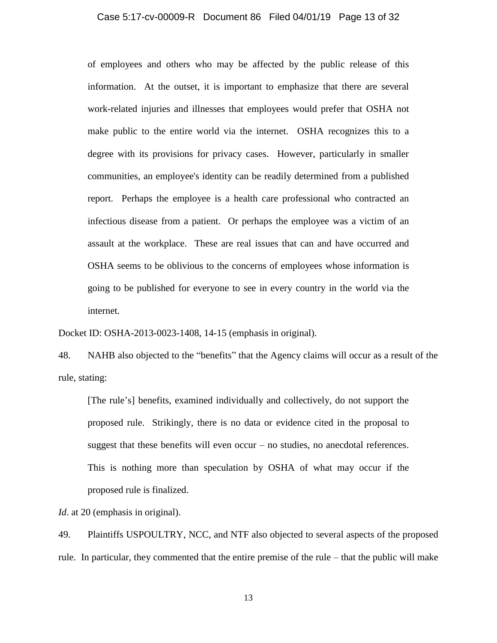#### Case 5:17-cv-00009-R Document 86 Filed 04/01/19 Page 13 of 32

of employees and others who may be affected by the public release of this information. At the outset, it is important to emphasize that there are several work-related injuries and illnesses that employees would prefer that OSHA not make public to the entire world via the internet. OSHA recognizes this to a degree with its provisions for privacy cases. However, particularly in smaller communities, an employee's identity can be readily determined from a published report. Perhaps the employee is a health care professional who contracted an infectious disease from a patient. Or perhaps the employee was a victim of an assault at the workplace. These are real issues that can and have occurred and OSHA seems to be oblivious to the concerns of employees whose information is going to be published for everyone to see in every country in the world via the internet.

Docket ID: OSHA-2013-0023-1408, 14-15 (emphasis in original).

48. NAHB also objected to the "benefits" that the Agency claims will occur as a result of the rule, stating:

[The rule's] benefits, examined individually and collectively, do not support the proposed rule. Strikingly, there is no data or evidence cited in the proposal to suggest that these benefits will even occur – no studies, no anecdotal references. This is nothing more than speculation by OSHA of what may occur if the proposed rule is finalized.

*Id.* at 20 (emphasis in original).

49. Plaintiffs USPOULTRY, NCC, and NTF also objected to several aspects of the proposed rule. In particular, they commented that the entire premise of the rule – that the public will make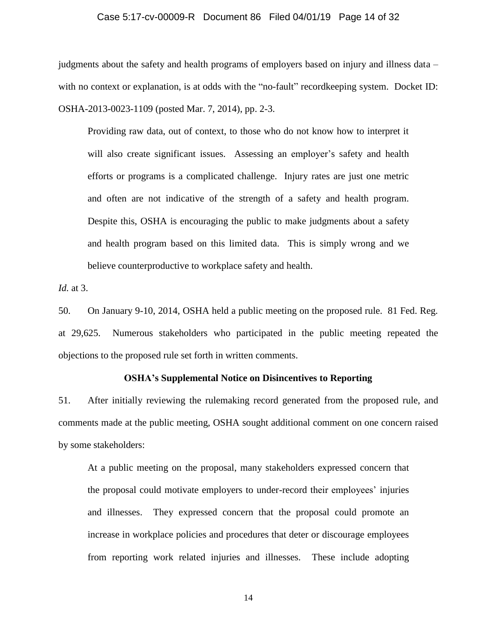#### Case 5:17-cv-00009-R Document 86 Filed 04/01/19 Page 14 of 32

judgments about the safety and health programs of employers based on injury and illness data – with no context or explanation, is at odds with the "no-fault" recordkeeping system. Docket ID: OSHA-2013-0023-1109 (posted Mar. 7, 2014), pp. 2-3.

Providing raw data, out of context, to those who do not know how to interpret it will also create significant issues. Assessing an employer's safety and health efforts or programs is a complicated challenge. Injury rates are just one metric and often are not indicative of the strength of a safety and health program. Despite this, OSHA is encouraging the public to make judgments about a safety and health program based on this limited data. This is simply wrong and we believe counterproductive to workplace safety and health.

*Id.* at 3.

50. On January 9-10, 2014, OSHA held a public meeting on the proposed rule. 81 Fed. Reg. at 29,625. Numerous stakeholders who participated in the public meeting repeated the objections to the proposed rule set forth in written comments.

#### **OSHA's Supplemental Notice on Disincentives to Reporting**

51. After initially reviewing the rulemaking record generated from the proposed rule, and comments made at the public meeting, OSHA sought additional comment on one concern raised by some stakeholders:

At a public meeting on the proposal, many stakeholders expressed concern that the proposal could motivate employers to under-record their employees' injuries and illnesses. They expressed concern that the proposal could promote an increase in workplace policies and procedures that deter or discourage employees from reporting work related injuries and illnesses. These include adopting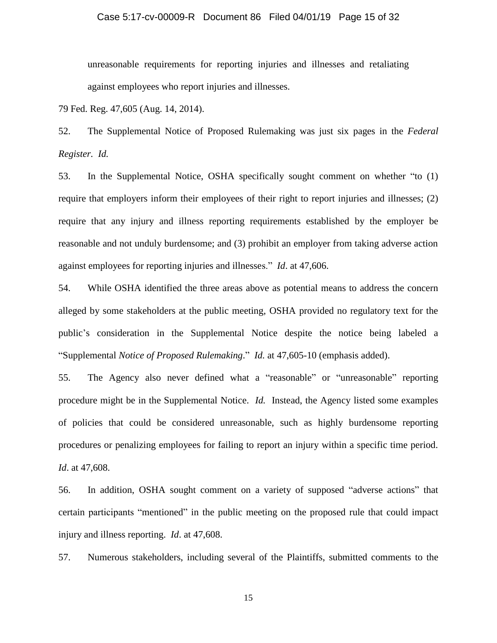#### Case 5:17-cv-00009-R Document 86 Filed 04/01/19 Page 15 of 32

unreasonable requirements for reporting injuries and illnesses and retaliating against employees who report injuries and illnesses.

79 Fed. Reg. 47,605 (Aug. 14, 2014).

52. The Supplemental Notice of Proposed Rulemaking was just six pages in the *Federal Register. Id.*

53. In the Supplemental Notice, OSHA specifically sought comment on whether "to (1) require that employers inform their employees of their right to report injuries and illnesses; (2) require that any injury and illness reporting requirements established by the employer be reasonable and not unduly burdensome; and (3) prohibit an employer from taking adverse action against employees for reporting injuries and illnesses." *Id*. at 47,606.

54. While OSHA identified the three areas above as potential means to address the concern alleged by some stakeholders at the public meeting, OSHA provided no regulatory text for the public's consideration in the Supplemental Notice despite the notice being labeled a "Supplemental *Notice of Proposed Rulemaking*." *Id.* at 47,605-10 (emphasis added).

55. The Agency also never defined what a "reasonable" or "unreasonable" reporting procedure might be in the Supplemental Notice. *Id.* Instead, the Agency listed some examples of policies that could be considered unreasonable, such as highly burdensome reporting procedures or penalizing employees for failing to report an injury within a specific time period. *Id*. at 47,608.

56. In addition, OSHA sought comment on a variety of supposed "adverse actions" that certain participants "mentioned" in the public meeting on the proposed rule that could impact injury and illness reporting. *Id*. at 47,608.

57. Numerous stakeholders, including several of the Plaintiffs, submitted comments to the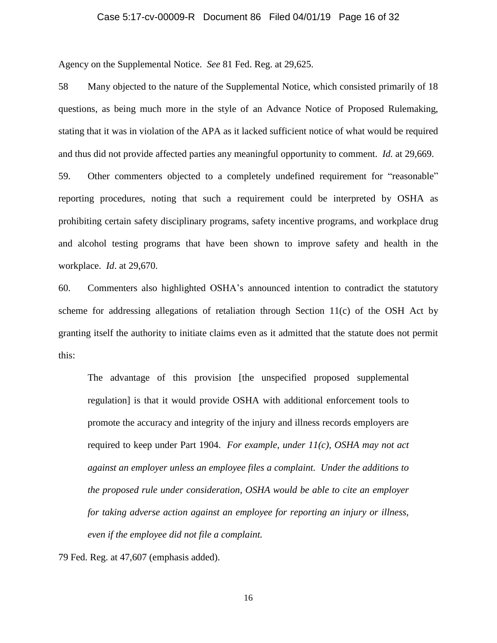#### Case 5:17-cv-00009-R Document 86 Filed 04/01/19 Page 16 of 32

Agency on the Supplemental Notice. *See* 81 Fed. Reg. at 29,625.

58 Many objected to the nature of the Supplemental Notice, which consisted primarily of 18 questions, as being much more in the style of an Advance Notice of Proposed Rulemaking, stating that it was in violation of the APA as it lacked sufficient notice of what would be required and thus did not provide affected parties any meaningful opportunity to comment. *Id.* at 29,669.

59. Other commenters objected to a completely undefined requirement for "reasonable" reporting procedures, noting that such a requirement could be interpreted by OSHA as prohibiting certain safety disciplinary programs, safety incentive programs, and workplace drug and alcohol testing programs that have been shown to improve safety and health in the workplace. *Id*. at 29,670.

60. Commenters also highlighted OSHA's announced intention to contradict the statutory scheme for addressing allegations of retaliation through Section 11(c) of the OSH Act by granting itself the authority to initiate claims even as it admitted that the statute does not permit this:

The advantage of this provision [the unspecified proposed supplemental regulation] is that it would provide OSHA with additional enforcement tools to promote the accuracy and integrity of the injury and illness records employers are required to keep under Part 1904. *For example, under 11(c), OSHA may not act against an employer unless an employee files a complaint. Under the additions to the proposed rule under consideration, OSHA would be able to cite an employer for taking adverse action against an employee for reporting an injury or illness, even if the employee did not file a complaint.*

79 Fed. Reg. at 47,607 (emphasis added).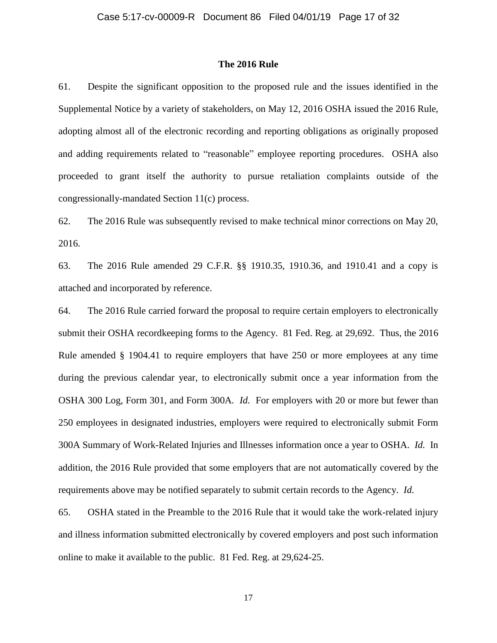#### **The 2016 Rule**

61. Despite the significant opposition to the proposed rule and the issues identified in the Supplemental Notice by a variety of stakeholders, on May 12, 2016 OSHA issued the 2016 Rule, adopting almost all of the electronic recording and reporting obligations as originally proposed and adding requirements related to "reasonable" employee reporting procedures. OSHA also proceeded to grant itself the authority to pursue retaliation complaints outside of the congressionally-mandated Section 11(c) process.

62. The 2016 Rule was subsequently revised to make technical minor corrections on May 20, 2016.

63. The 2016 Rule amended 29 C.F.R. §§ 1910.35, 1910.36, and 1910.41 and a copy is attached and incorporated by reference.

64. The 2016 Rule carried forward the proposal to require certain employers to electronically submit their OSHA recordkeeping forms to the Agency. 81 Fed. Reg. at 29,692. Thus, the 2016 Rule amended § 1904.41 to require employers that have 250 or more employees at any time during the previous calendar year, to electronically submit once a year information from the OSHA 300 Log, Form 301, and Form 300A*. Id.* For employers with 20 or more but fewer than 250 employees in designated industries, employers were required to electronically submit Form 300A Summary of Work-Related Injuries and Illnesses information once a year to OSHA. *Id.* In addition, the 2016 Rule provided that some employers that are not automatically covered by the requirements above may be notified separately to submit certain records to the Agency. *Id.*

65. OSHA stated in the Preamble to the 2016 Rule that it would take the work-related injury and illness information submitted electronically by covered employers and post such information online to make it available to the public. 81 Fed. Reg. at 29,624-25.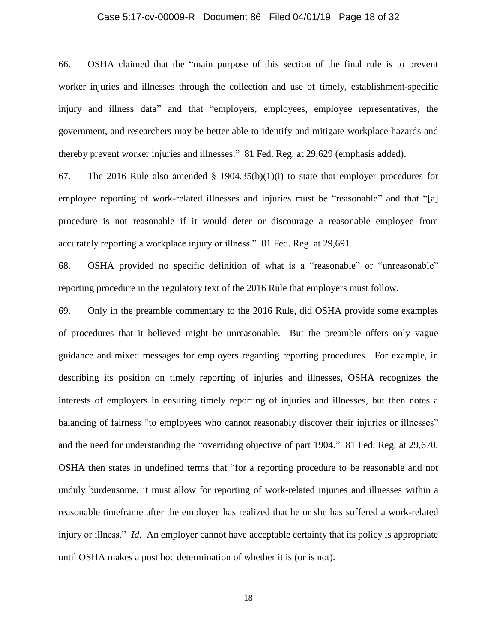#### Case 5:17-cv-00009-R Document 86 Filed 04/01/19 Page 18 of 32

66. OSHA claimed that the "main purpose of this section of the final rule is to prevent worker injuries and illnesses through the collection and use of timely, establishment-specific injury and illness data" and that "employers, employees, employee representatives, the government, and researchers may be better able to identify and mitigate workplace hazards and thereby prevent worker injuries and illnesses." 81 Fed. Reg. at 29,629 (emphasis added).

67. The 2016 Rule also amended § 1904.35(b)(1)(i) to state that employer procedures for employee reporting of work-related illnesses and injuries must be "reasonable" and that "[a] procedure is not reasonable if it would deter or discourage a reasonable employee from accurately reporting a workplace injury or illness." 81 Fed. Reg. at 29,691.

68. OSHA provided no specific definition of what is a "reasonable" or "unreasonable" reporting procedure in the regulatory text of the 2016 Rule that employers must follow.

69. Only in the preamble commentary to the 2016 Rule, did OSHA provide some examples of procedures that it believed might be unreasonable. But the preamble offers only vague guidance and mixed messages for employers regarding reporting procedures. For example, in describing its position on timely reporting of injuries and illnesses, OSHA recognizes the interests of employers in ensuring timely reporting of injuries and illnesses, but then notes a balancing of fairness "to employees who cannot reasonably discover their injuries or illnesses" and the need for understanding the "overriding objective of part 1904." 81 Fed. Reg. at 29,670. OSHA then states in undefined terms that "for a reporting procedure to be reasonable and not unduly burdensome, it must allow for reporting of work-related injuries and illnesses within a reasonable timeframe after the employee has realized that he or she has suffered a work-related injury or illness." *Id*. An employer cannot have acceptable certainty that its policy is appropriate until OSHA makes a post hoc determination of whether it is (or is not).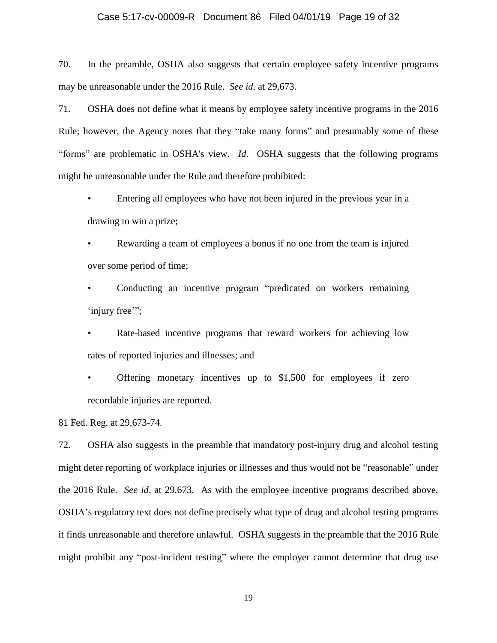#### Case 5:17-cv-00009-R Document 86 Filed 04/01/19 Page 19 of 32

70. In the preamble, OSHA also suggests that certain employee safety incentive programs may be unreasonable under the 2016 Rule. *See id*. at 29,673.

71. OSHA does not define what it means by employee safety incentive programs in the 2016 Rule; however, the Agency notes that they "take many forms" and presumably some of these "forms" are problematic in OSHA's view. *Id*. OSHA suggests that the following programs might be unreasonable under the Rule and therefore prohibited:

• Entering all employees who have not been injured in the previous year in a drawing to win a prize;

Rewarding a team of employees a bonus if no one from the team is injured over some period of time;

• Conducting an incentive program "predicated on workers remaining 'injury free'";

Rate-based incentive programs that reward workers for achieving low rates of reported injuries and illnesses; and

• Offering monetary incentives up to \$1,500 for employees if zero recordable injuries are reported.

81 Fed. Reg. at 29,673-74.

72. OSHA also suggests in the preamble that mandatory post-injury drug and alcohol testing might deter reporting of workplace injuries or illnesses and thus would not be "reasonable" under the 2016 Rule. *See id*. at 29,673. As with the employee incentive programs described above, OSHA's regulatory text does not define precisely what type of drug and alcohol testing programs it finds unreasonable and therefore unlawful. OSHA suggests in the preamble that the 2016 Rule might prohibit any "post-incident testing" where the employer cannot determine that drug use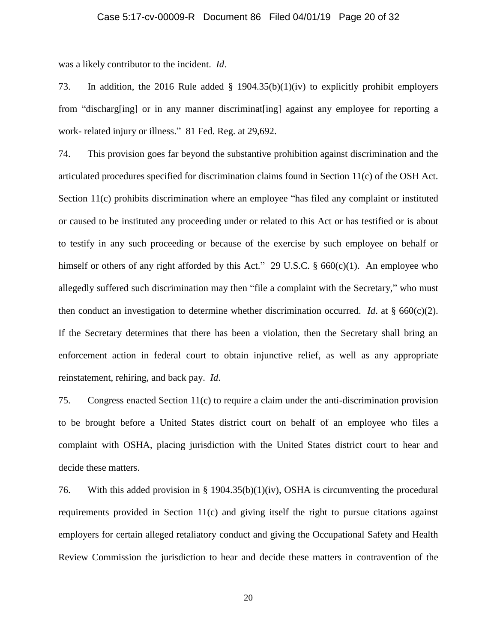#### Case 5:17-cv-00009-R Document 86 Filed 04/01/19 Page 20 of 32

was a likely contributor to the incident. *Id*.

73. In addition, the 2016 Rule added § 1904.35(b)(1)(iv) to explicitly prohibit employers from "discharg[ing] or in any manner discriminat[ing] against any employee for reporting a work- related injury or illness." 81 Fed. Reg. at 29,692.

74. This provision goes far beyond the substantive prohibition against discrimination and the articulated procedures specified for discrimination claims found in Section 11(c) of the OSH Act. Section 11(c) prohibits discrimination where an employee "has filed any complaint or instituted or caused to be instituted any proceeding under or related to this Act or has testified or is about to testify in any such proceeding or because of the exercise by such employee on behalf or himself or others of any right afforded by this Act." 29 U.S.C.  $\S$  660(c)(1). An employee who allegedly suffered such discrimination may then "file a complaint with the Secretary," who must then conduct an investigation to determine whether discrimination occurred. *Id*. at § 660(c)(2). If the Secretary determines that there has been a violation, then the Secretary shall bring an enforcement action in federal court to obtain injunctive relief, as well as any appropriate reinstatement, rehiring, and back pay. *Id*.

75. Congress enacted Section 11(c) to require a claim under the anti-discrimination provision to be brought before a United States district court on behalf of an employee who files a complaint with OSHA, placing jurisdiction with the United States district court to hear and decide these matters.

76. With this added provision in § 1904.35(b)(1)(iv), OSHA is circumventing the procedural requirements provided in Section  $11(c)$  and giving itself the right to pursue citations against employers for certain alleged retaliatory conduct and giving the Occupational Safety and Health Review Commission the jurisdiction to hear and decide these matters in contravention of the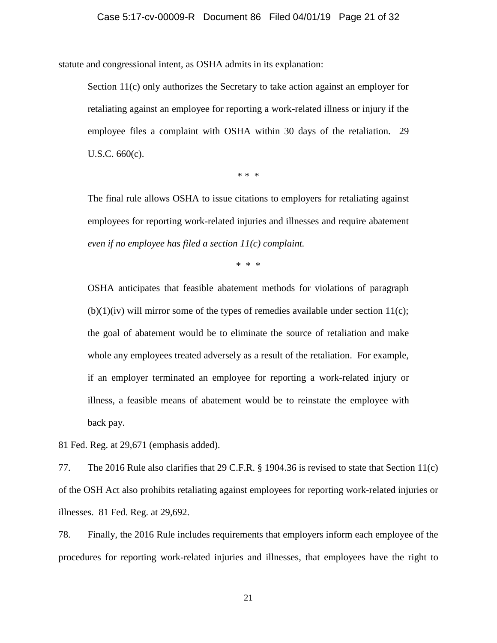statute and congressional intent, as OSHA admits in its explanation:

Section 11(c) only authorizes the Secretary to take action against an employer for retaliating against an employee for reporting a work-related illness or injury if the employee files a complaint with OSHA within 30 days of the retaliation. 29 U.S.C. 660(c).

\* \* \*

The final rule allows OSHA to issue citations to employers for retaliating against employees for reporting work-related injuries and illnesses and require abatement *even if no employee has filed a section 11(c) complaint.*

\* \* \*

OSHA anticipates that feasible abatement methods for violations of paragraph  $(b)(1)(iv)$  will mirror some of the types of remedies available under section 11(c); the goal of abatement would be to eliminate the source of retaliation and make whole any employees treated adversely as a result of the retaliation. For example, if an employer terminated an employee for reporting a work-related injury or illness, a feasible means of abatement would be to reinstate the employee with back pay.

81 Fed. Reg. at 29,671 (emphasis added).

77. The 2016 Rule also clarifies that 29 C.F.R. § 1904.36 is revised to state that Section 11(c) of the OSH Act also prohibits retaliating against employees for reporting work-related injuries or illnesses. 81 Fed. Reg. at 29,692.

78. Finally, the 2016 Rule includes requirements that employers inform each employee of the procedures for reporting work-related injuries and illnesses, that employees have the right to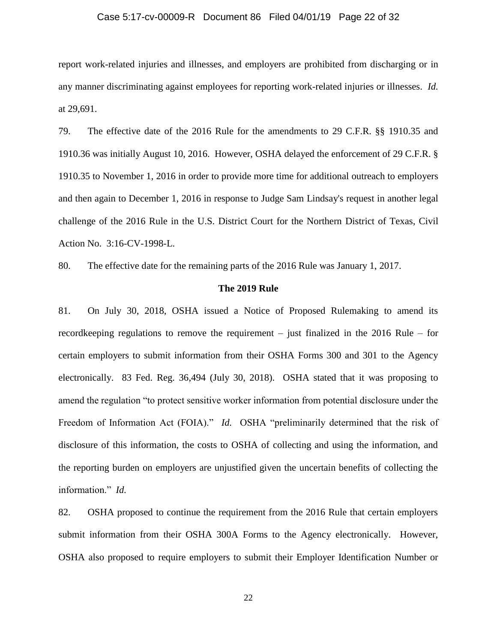#### Case 5:17-cv-00009-R Document 86 Filed 04/01/19 Page 22 of 32

report work-related injuries and illnesses, and employers are prohibited from discharging or in any manner discriminating against employees for reporting work-related injuries or illnesses. *Id.* at 29,691.

79. The effective date of the 2016 Rule for the amendments to 29 C.F.R. §§ 1910.35 and 1910.36 was initially August 10, 2016. However, OSHA delayed the enforcement of 29 C.F.R. § 1910.35 to November 1, 2016 in order to provide more time for additional outreach to employers and then again to December 1, 2016 in response to Judge Sam Lindsay's request in another legal challenge of the 2016 Rule in the U.S. District Court for the Northern District of Texas, Civil Action No. 3:16-CV-1998-L.

80. The effective date for the remaining parts of the 2016 Rule was January 1, 2017.

#### **The 2019 Rule**

81. On July 30, 2018, OSHA issued a Notice of Proposed Rulemaking to amend its recordkeeping regulations to remove the requirement – just finalized in the 2016 Rule – for certain employers to submit information from their OSHA Forms 300 and 301 to the Agency electronically. 83 Fed. Reg. 36,494 (July 30, 2018). OSHA stated that it was proposing to amend the regulation "to protect sensitive worker information from potential disclosure under the Freedom of Information Act (FOIA)." *Id.* OSHA "preliminarily determined that the risk of disclosure of this information, the costs to OSHA of collecting and using the information, and the reporting burden on employers are unjustified given the uncertain benefits of collecting the information." *Id.*

82. OSHA proposed to continue the requirement from the 2016 Rule that certain employers submit information from their OSHA 300A Forms to the Agency electronically. However, OSHA also proposed to require employers to submit their Employer Identification Number or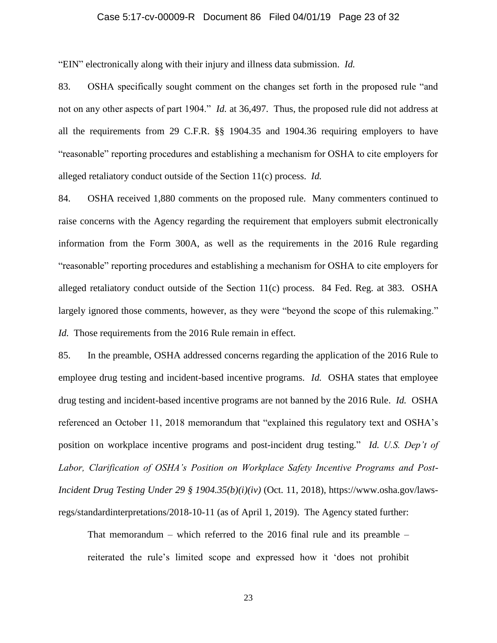#### Case 5:17-cv-00009-R Document 86 Filed 04/01/19 Page 23 of 32

"EIN" electronically along with their injury and illness data submission. *Id.*

83. OSHA specifically sought comment on the changes set forth in the proposed rule "and not on any other aspects of part 1904." *Id.* at 36,497. Thus, the proposed rule did not address at all the requirements from 29 C.F.R. §§ 1904.35 and 1904.36 requiring employers to have "reasonable" reporting procedures and establishing a mechanism for OSHA to cite employers for alleged retaliatory conduct outside of the Section 11(c) process. *Id.*

84. OSHA received 1,880 comments on the proposed rule. Many commenters continued to raise concerns with the Agency regarding the requirement that employers submit electronically information from the Form 300A, as well as the requirements in the 2016 Rule regarding "reasonable" reporting procedures and establishing a mechanism for OSHA to cite employers for alleged retaliatory conduct outside of the Section 11(c) process. 84 Fed. Reg. at 383. OSHA largely ignored those comments, however, as they were "beyond the scope of this rulemaking." *Id.* Those requirements from the 2016 Rule remain in effect.

85. In the preamble, OSHA addressed concerns regarding the application of the 2016 Rule to employee drug testing and incident-based incentive programs. *Id.* OSHA states that employee drug testing and incident-based incentive programs are not banned by the 2016 Rule. *Id.* OSHA referenced an October 11, 2018 memorandum that "explained this regulatory text and OSHA's position on workplace incentive programs and post-incident drug testing." *Id. U.S. Dep't of Labor, Clarification of OSHA's Position on Workplace Safety Incentive Programs and Post-Incident Drug Testing Under 29 § 1904.35(b)(i)(iv)* (Oct. 11, 2018), https://www.osha.gov/lawsregs/standardinterpretations/2018-10-11 (as of April 1, 2019). The Agency stated further:

That memorandum – which referred to the 2016 final rule and its preamble – reiterated the rule's limited scope and expressed how it 'does not prohibit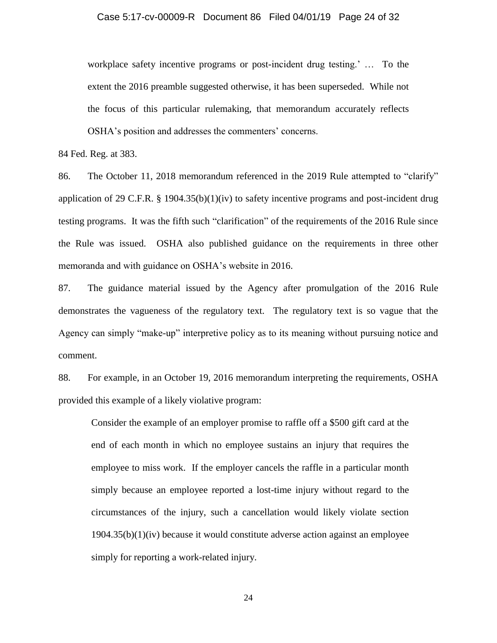workplace safety incentive programs or post-incident drug testing.' … To the extent the 2016 preamble suggested otherwise, it has been superseded. While not the focus of this particular rulemaking, that memorandum accurately reflects OSHA's position and addresses the commenters' concerns.

84 Fed. Reg. at 383.

86. The October 11, 2018 memorandum referenced in the 2019 Rule attempted to "clarify" application of 29 C.F.R. § 1904.35(b)(1)(iv) to safety incentive programs and post-incident drug testing programs. It was the fifth such "clarification" of the requirements of the 2016 Rule since the Rule was issued. OSHA also published guidance on the requirements in three other memoranda and with guidance on OSHA's website in 2016.

87. The guidance material issued by the Agency after promulgation of the 2016 Rule demonstrates the vagueness of the regulatory text. The regulatory text is so vague that the Agency can simply "make-up" interpretive policy as to its meaning without pursuing notice and comment.

88. For example, in an October 19, 2016 memorandum interpreting the requirements, OSHA provided this example of a likely violative program:

Consider the example of an employer promise to raffle off a \$500 gift card at the end of each month in which no employee sustains an injury that requires the employee to miss work. If the employer cancels the raffle in a particular month simply because an employee reported a lost-time injury without regard to the circumstances of the injury, such a cancellation would likely violate section 1904.35(b)(1)(iv) because it would constitute adverse action against an employee simply for reporting a work-related injury.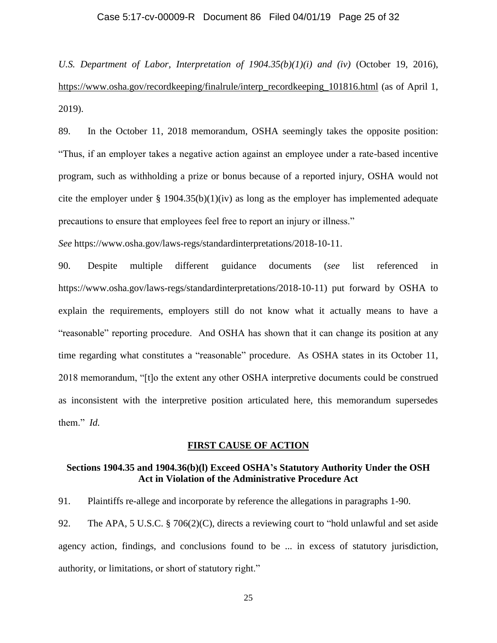#### Case 5:17-cv-00009-R Document 86 Filed 04/01/19 Page 25 of 32

*U.S. Department of Labor, Interpretation of 1904.35(b)(1)(i) and (iv)* (October 19, 2016), https://www.osha.gov/recordkeeping/finalrule/interp\_recordkeeping\_101816.html (as of April 1, 2019).

89. In the October 11, 2018 memorandum, OSHA seemingly takes the opposite position: "Thus, if an employer takes a negative action against an employee under a rate-based incentive program, such as withholding a prize or bonus because of a reported injury, OSHA would not cite the employer under  $\S$  1904.35(b)(1)(iv) as long as the employer has implemented adequate precautions to ensure that employees feel free to report an injury or illness."

*See* https://www.osha.gov/laws-regs/standardinterpretations/2018-10-11.

90. Despite multiple different guidance documents (*see* list referenced in https://www.osha.gov/laws-regs/standardinterpretations/2018-10-11) put forward by OSHA to explain the requirements, employers still do not know what it actually means to have a "reasonable" reporting procedure. And OSHA has shown that it can change its position at any time regarding what constitutes a "reasonable" procedure. As OSHA states in its October 11, 2018 memorandum, "[t]o the extent any other OSHA interpretive documents could be construed as inconsistent with the interpretive position articulated here, this memorandum supersedes them." *Id.*

#### **FIRST CAUSE OF ACTION**

### **Sections 1904.35 and 1904.36(b)(l) Exceed OSHA's Statutory Authority Under the OSH Act in Violation of the Administrative Procedure Act**

91. Plaintiffs re-allege and incorporate by reference the allegations in paragraphs 1-90.

92. The APA, 5 U.S.C. § 706(2)(C), directs a reviewing court to "hold unlawful and set aside agency action, findings, and conclusions found to be ... in excess of statutory jurisdiction, authority, or limitations, or short of statutory right."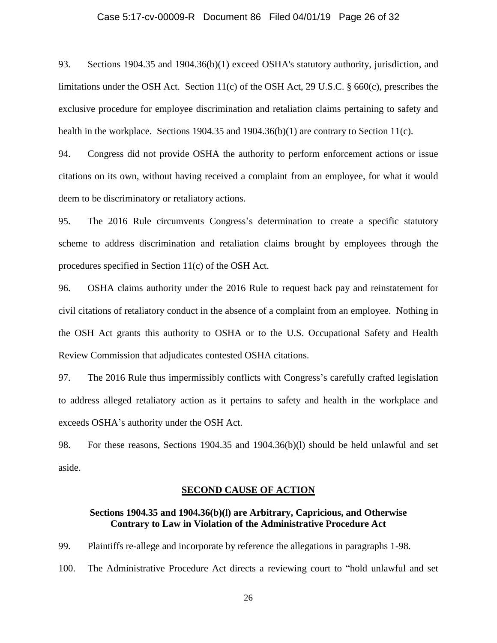#### Case 5:17-cv-00009-R Document 86 Filed 04/01/19 Page 26 of 32

93. Sections 1904.35 and 1904.36(b)(1) exceed OSHA's statutory authority, jurisdiction, and limitations under the OSH Act. Section 11(c) of the OSH Act, 29 U.S.C. § 660(c), prescribes the exclusive procedure for employee discrimination and retaliation claims pertaining to safety and health in the workplace. Sections 1904.35 and 1904.36(b)(1) are contrary to Section 11(c).

94. Congress did not provide OSHA the authority to perform enforcement actions or issue citations on its own, without having received a complaint from an employee, for what it would deem to be discriminatory or retaliatory actions.

95. The 2016 Rule circumvents Congress's determination to create a specific statutory scheme to address discrimination and retaliation claims brought by employees through the procedures specified in Section 11(c) of the OSH Act.

96. OSHA claims authority under the 2016 Rule to request back pay and reinstatement for civil citations of retaliatory conduct in the absence of a complaint from an employee. Nothing in the OSH Act grants this authority to OSHA or to the U.S. Occupational Safety and Health Review Commission that adjudicates contested OSHA citations.

97. The 2016 Rule thus impermissibly conflicts with Congress's carefully crafted legislation to address alleged retaliatory action as it pertains to safety and health in the workplace and exceeds OSHA's authority under the OSH Act.

98. For these reasons, Sections 1904.35 and 1904.36(b)(l) should be held unlawful and set aside.

#### **SECOND CAUSE OF ACTION**

### **Sections 1904.35 and 1904.36(b)(l) are Arbitrary, Capricious, and Otherwise Contrary to Law in Violation of the Administrative Procedure Act**

99. Plaintiffs re-allege and incorporate by reference the allegations in paragraphs 1-98.

100. The Administrative Procedure Act directs a reviewing court to "hold unlawful and set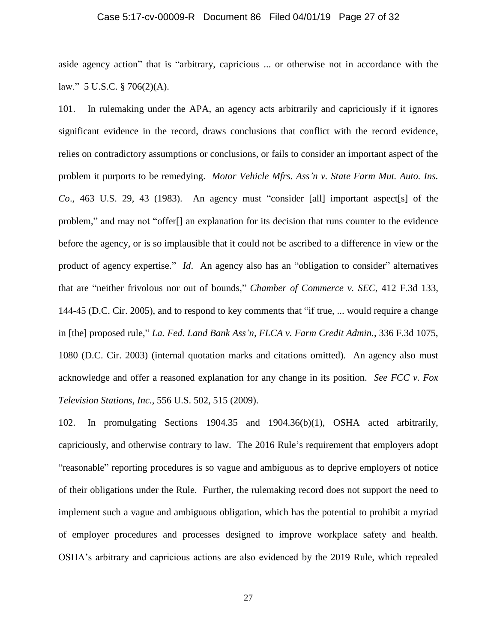#### Case 5:17-cv-00009-R Document 86 Filed 04/01/19 Page 27 of 32

aside agency action" that is "arbitrary, capricious ... or otherwise not in accordance with the law." 5 U.S.C. § 706(2)(A).

101. In rulemaking under the APA, an agency acts arbitrarily and capriciously if it ignores significant evidence in the record, draws conclusions that conflict with the record evidence, relies on contradictory assumptions or conclusions, or fails to consider an important aspect of the problem it purports to be remedying. *Motor Vehicle Mfrs. Ass'n v. State Farm Mut. Auto. Ins. Co*., 463 U.S. 29, 43 (1983). An agency must "consider [all] important aspect[s] of the problem," and may not "offer[] an explanation for its decision that runs counter to the evidence before the agency, or is so implausible that it could not be ascribed to a difference in view or the product of agency expertise." *Id*. An agency also has an "obligation to consider" alternatives that are "neither frivolous nor out of bounds," *Chamber of Commerce v. SEC*, 412 F.3d 133, 144-45 (D.C. Cir. 2005), and to respond to key comments that "if true, ... would require a change in [the] proposed rule," *La. Fed. Land Bank Ass'n, FLCA v. Farm Credit Admin.*, 336 F.3d 1075, 1080 (D.C. Cir. 2003) (internal quotation marks and citations omitted). An agency also must acknowledge and offer a reasoned explanation for any change in its position. *See FCC v. Fox Television Stations, Inc.*, 556 U.S. 502, 515 (2009).

102. In promulgating Sections 1904.35 and 1904.36(b)(1), OSHA acted arbitrarily, capriciously, and otherwise contrary to law. The 2016 Rule's requirement that employers adopt "reasonable" reporting procedures is so vague and ambiguous as to deprive employers of notice of their obligations under the Rule. Further, the rulemaking record does not support the need to implement such a vague and ambiguous obligation, which has the potential to prohibit a myriad of employer procedures and processes designed to improve workplace safety and health. OSHA's arbitrary and capricious actions are also evidenced by the 2019 Rule, which repealed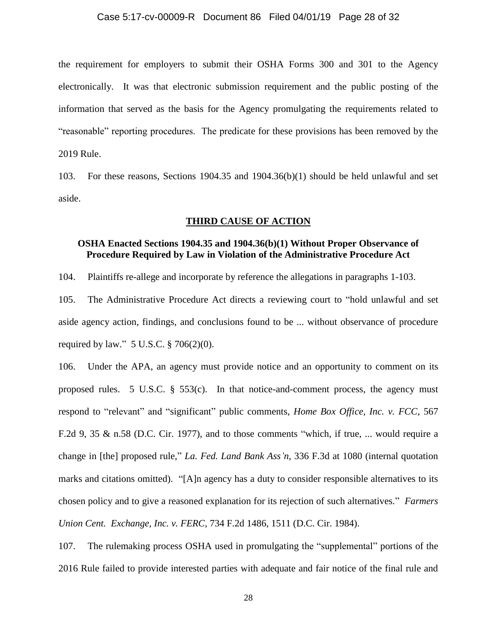#### Case 5:17-cv-00009-R Document 86 Filed 04/01/19 Page 28 of 32

the requirement for employers to submit their OSHA Forms 300 and 301 to the Agency electronically. It was that electronic submission requirement and the public posting of the information that served as the basis for the Agency promulgating the requirements related to "reasonable" reporting procedures. The predicate for these provisions has been removed by the 2019 Rule.

103. For these reasons, Sections 1904.35 and 1904.36(b)(1) should be held unlawful and set aside.

#### **THIRD CAUSE OF ACTION**

## **OSHA Enacted Sections 1904.35 and 1904.36(b)(1) Without Proper Observance of Procedure Required by Law in Violation of the Administrative Procedure Act**

104. Plaintiffs re-allege and incorporate by reference the allegations in paragraphs 1-103.

105. The Administrative Procedure Act directs a reviewing court to "hold unlawful and set aside agency action, findings, and conclusions found to be ... without observance of procedure required by law." 5 U.S.C. § 706(2)(0).

106. Under the APA, an agency must provide notice and an opportunity to comment on its proposed rules. 5 U.S.C.  $\S$  553(c). In that notice-and-comment process, the agency must respond to "relevant" and "significant" public comments, *Home Box Office, Inc. v. FCC*, 567 F.2d 9, 35 & n.58 (D.C. Cir. 1977), and to those comments "which, if true, ... would require a change in [the] proposed rule," *La. Fed. Land Bank Ass'n*, 336 F.3d at 1080 (internal quotation marks and citations omitted). "[A]n agency has a duty to consider responsible alternatives to its chosen policy and to give a reasoned explanation for its rejection of such alternatives." *Farmers Union Cent. Exchange, Inc. v. FERC*, 734 F.2d 1486, 1511 (D.C. Cir. 1984).

107. The rulemaking process OSHA used in promulgating the "supplemental" portions of the 2016 Rule failed to provide interested parties with adequate and fair notice of the final rule and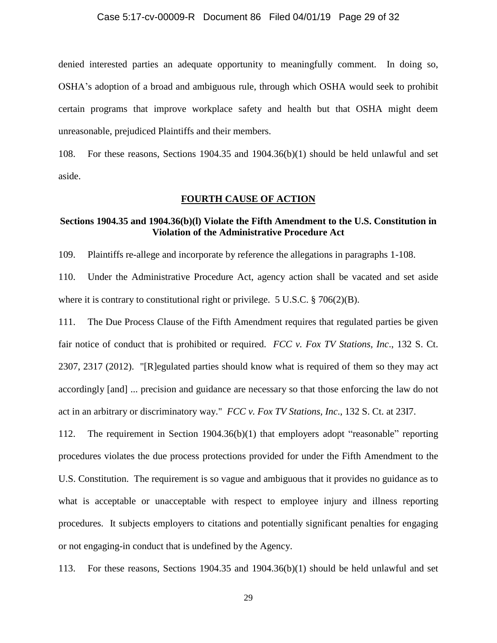#### Case 5:17-cv-00009-R Document 86 Filed 04/01/19 Page 29 of 32

denied interested parties an adequate opportunity to meaningfully comment. In doing so, OSHA's adoption of a broad and ambiguous rule, through which OSHA would seek to prohibit certain programs that improve workplace safety and health but that OSHA might deem unreasonable, prejudiced Plaintiffs and their members.

108. For these reasons, Sections 1904.35 and 1904.36(b)(1) should be held unlawful and set aside.

#### **FOURTH CAUSE OF ACTION**

### **Sections 1904.35 and 1904.36(b)(l) Violate the Fifth Amendment to the U.S. Constitution in Violation of the Administrative Procedure Act**

109. Plaintiffs re-allege and incorporate by reference the allegations in paragraphs 1-108.

110. Under the Administrative Procedure Act, agency action shall be vacated and set aside where it is contrary to constitutional right or privilege. 5 U.S.C. § 706(2)(B).

111. The Due Process Clause of the Fifth Amendment requires that regulated parties be given fair notice of conduct that is prohibited or required. *FCC v. Fox TV Stations, Inc*., 132 S. Ct. 2307, 2317 (2012). "[R]egulated parties should know what is required of them so they may act accordingly [and] ... precision and guidance are necessary so that those enforcing the law do not act in an arbitrary or discriminatory way." *FCC v. Fox TV Stations, Inc*., 132 S. Ct. at 23I7.

112. The requirement in Section 1904.36(b)(1) that employers adopt "reasonable" reporting procedures violates the due process protections provided for under the Fifth Amendment to the U.S. Constitution. The requirement is so vague and ambiguous that it provides no guidance as to what is acceptable or unacceptable with respect to employee injury and illness reporting procedures. It subjects employers to citations and potentially significant penalties for engaging or not engaging-in conduct that is undefined by the Agency.

113. For these reasons, Sections 1904.35 and 1904.36(b)(1) should be held unlawful and set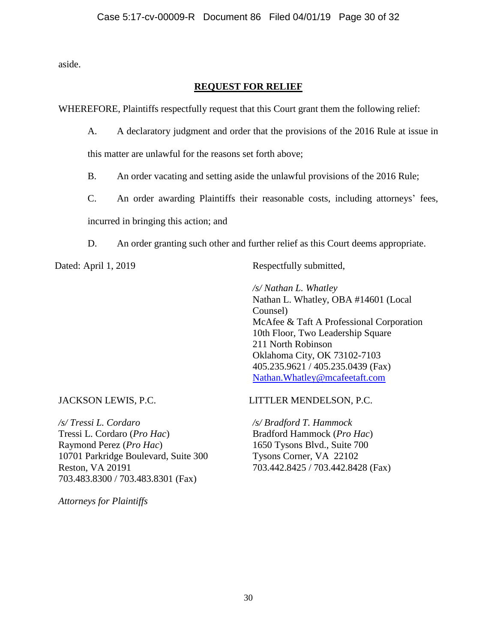aside.

## **REQUEST FOR RELIEF**

WHEREFORE, Plaintiffs respectfully request that this Court grant them the following relief:

A. A declaratory judgment and order that the provisions of the 2016 Rule at issue in

this matter are unlawful for the reasons set forth above;

- B. An order vacating and setting aside the unlawful provisions of the 2016 Rule;
- C. An order awarding Plaintiffs their reasonable costs, including attorneys' fees, incurred in bringing this action; and
- D. An order granting such other and further relief as this Court deems appropriate.

Dated: April 1, 2019 Respectfully submitted,

*/s/ Nathan L. Whatley* Nathan L. Whatley, OBA #14601 (Local Counsel) McAfee & Taft A Professional Corporation 10th Floor, Two Leadership Square 211 North Robinson Oklahoma City, OK 73102-7103 405.235.9621 / 405.235.0439 (Fax) [Nathan.Whatley@mcafeetaft.com](mailto:Nathan.Whatley@mcafeetaft.com)

JACKSON LEWIS, P.C.

*/s/ Tressi L. Cordaro* Tressi L. Cordaro (*Pro Hac*) Raymond Perez (*Pro Hac*) 10701 Parkridge Boulevard, Suite 300 Reston, VA 20191 703.483.8300 / 703.483.8301 (Fax)

LITTLER MENDELSON, P.C.

*/s/ Bradford T. Hammock* Bradford Hammock (*Pro Hac*) 1650 Tysons Blvd., Suite 700 Tysons Corner, VA 22102 703.442.8425 / 703.442.8428 (Fax)

*Attorneys for Plaintiffs*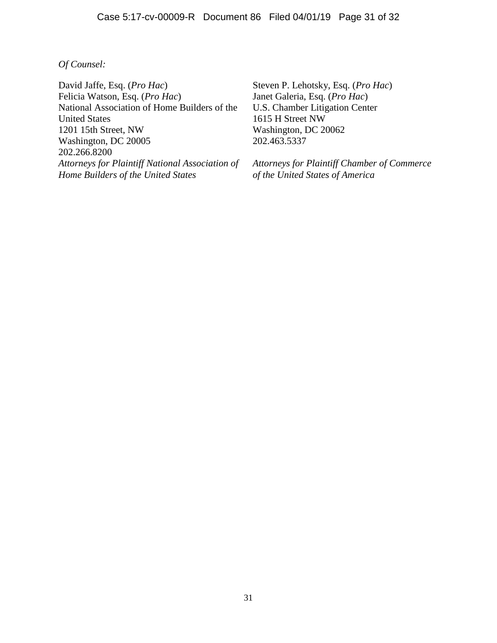## *Of Counsel:*

David Jaffe, Esq. (*Pro Hac*) Felicia Watson, Esq. (*Pro Hac*) National Association of Home Builders of the United States 1201 15th Street, NW Washington, DC 20005 202.266.8200 *Attorneys for Plaintiff National Association of Home Builders of the United States*

Steven P. Lehotsky, Esq. (*Pro Hac*) Janet Galeria, Esq. (*Pro Hac*) U.S. Chamber Litigation Center 1615 H Street NW Washington, DC 20062 202.463.5337

*Attorneys for Plaintiff Chamber of Commerce of the United States of America*